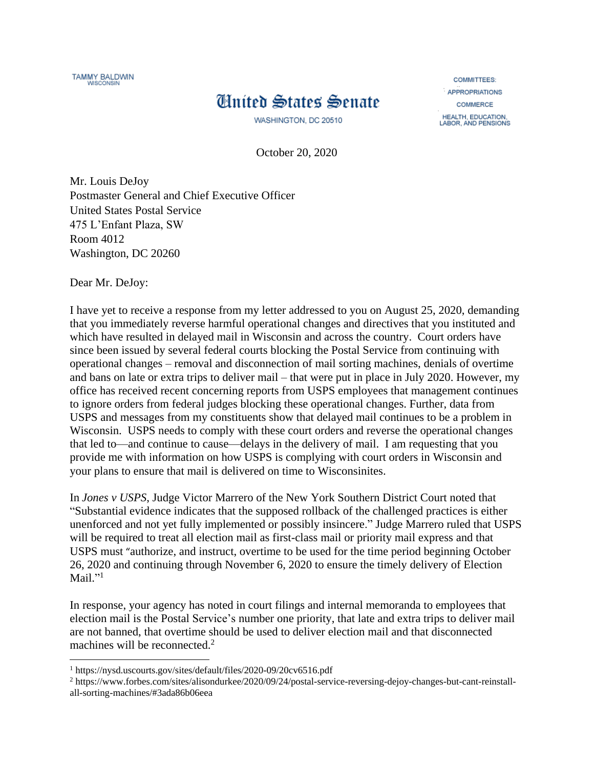

## **Huited States Senate**

WASHINGTON, DC 20510

**COMMITTEES: APPROPRIATIONS** COMMERCE HEALTH, EDUCATION,<br>LABOR, AND PENSIONS

October 20, 2020

Mr. Louis DeJoy Postmaster General and Chief Executive Officer United States Postal Service 475 L'Enfant Plaza, SW Room 4012 Washington, DC 20260

Dear Mr. DeJoy:

 $\overline{\phantom{a}}$ 

I have yet to receive a response from my letter addressed to you on August 25, 2020, demanding that you immediately reverse harmful operational changes and directives that you instituted and which have resulted in delayed mail in Wisconsin and across the country. Court orders have since been issued by several federal courts blocking the Postal Service from continuing with operational changes – removal and disconnection of mail sorting machines, denials of overtime and bans on late or extra trips to deliver mail – that were put in place in July 2020. However, my office has received recent concerning reports from USPS employees that management continues to ignore orders from federal judges blocking these operational changes. Further, data from USPS and messages from my constituents show that delayed mail continues to be a problem in Wisconsin. USPS needs to comply with these court orders and reverse the operational changes that led to—and continue to cause—delays in the delivery of mail. I am requesting that you provide me with information on how USPS is complying with court orders in Wisconsin and your plans to ensure that mail is delivered on time to Wisconsinites.

In *Jones v USPS*, Judge Victor Marrero of the New York Southern District Court noted that "Substantial evidence indicates that the supposed rollback of the challenged practices is either unenforced and not yet fully implemented or possibly insincere." Judge Marrero ruled that USPS will be required to treat all election mail as first-class mail or priority mail express and that USPS must "authorize, and instruct, overtime to be used for the time period beginning October 26, 2020 and continuing through November 6, 2020 to ensure the timely delivery of Election Mail."<sup>1</sup>

In response, your agency has noted in court filings and internal memoranda to employees that election mail is the Postal Service's number one priority, that late and extra trips to deliver mail are not banned, that overtime should be used to deliver election mail and that disconnected machines will be reconnected. $<sup>2</sup>$ </sup>

<sup>1</sup> https://nysd.uscourts.gov/sites/default/files/2020-09/20cv6516.pdf

<sup>2</sup> https://www.forbes.com/sites/alisondurkee/2020/09/24/postal-service-reversing-dejoy-changes-but-cant-reinstallall-sorting-machines/#3ada86b06eea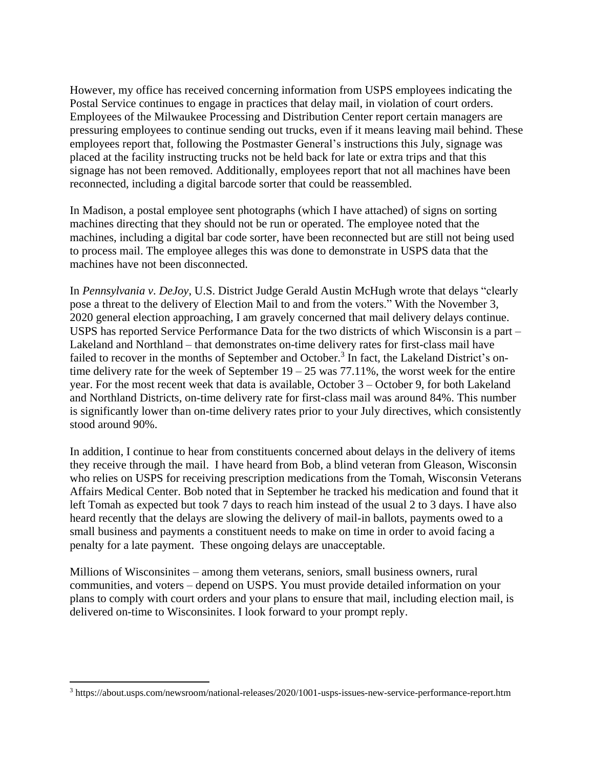However, my office has received concerning information from USPS employees indicating the Postal Service continues to engage in practices that delay mail, in violation of court orders. Employees of the Milwaukee Processing and Distribution Center report certain managers are pressuring employees to continue sending out trucks, even if it means leaving mail behind. These employees report that, following the Postmaster General's instructions this July, signage was placed at the facility instructing trucks not be held back for late or extra trips and that this signage has not been removed. Additionally, employees report that not all machines have been reconnected, including a digital barcode sorter that could be reassembled.

In Madison, a postal employee sent photographs (which I have attached) of signs on sorting machines directing that they should not be run or operated. The employee noted that the machines, including a digital bar code sorter, have been reconnected but are still not being used to process mail. The employee alleges this was done to demonstrate in USPS data that the machines have not been disconnected.

In *Pennsylvania v*. *DeJoy*, U.S. District Judge Gerald Austin McHugh wrote that delays "clearly pose a threat to the delivery of Election Mail to and from the voters." With the November 3, 2020 general election approaching, I am gravely concerned that mail delivery delays continue. USPS has reported Service Performance Data for the two districts of which Wisconsin is a part – Lakeland and Northland – that demonstrates on-time delivery rates for first-class mail have failed to recover in the months of September and October.<sup>3</sup> In fact, the Lakeland District's ontime delivery rate for the week of September  $19 - 25$  was  $77.11\%$ , the worst week for the entire year. For the most recent week that data is available, October 3 – October 9, for both Lakeland and Northland Districts, on-time delivery rate for first-class mail was around 84%. This number is significantly lower than on-time delivery rates prior to your July directives, which consistently stood around 90%.

In addition, I continue to hear from constituents concerned about delays in the delivery of items they receive through the mail. I have heard from Bob, a blind veteran from Gleason, Wisconsin who relies on USPS for receiving prescription medications from the Tomah, Wisconsin Veterans Affairs Medical Center. Bob noted that in September he tracked his medication and found that it left Tomah as expected but took 7 days to reach him instead of the usual 2 to 3 days. I have also heard recently that the delays are slowing the delivery of mail-in ballots, payments owed to a small business and payments a constituent needs to make on time in order to avoid facing a penalty for a late payment. These ongoing delays are unacceptable.

Millions of Wisconsinites – among them veterans, seniors, small business owners, rural communities, and voters – depend on USPS. You must provide detailed information on your plans to comply with court orders and your plans to ensure that mail, including election mail, is delivered on-time to Wisconsinites. I look forward to your prompt reply.

 $\overline{\phantom{a}}$ 

<sup>3</sup> https://about.usps.com/newsroom/national-releases/2020/1001-usps-issues-new-service-performance-report.htm